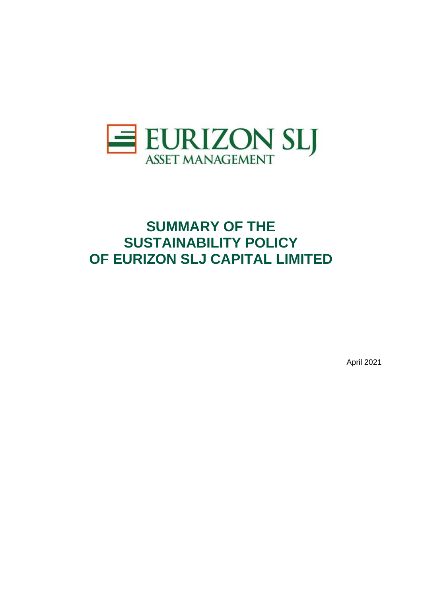

# **SUMMARY OF THE SUSTAINABILITY POLICY OF EURIZON SLJ CAPITAL LIMITED**

April 2021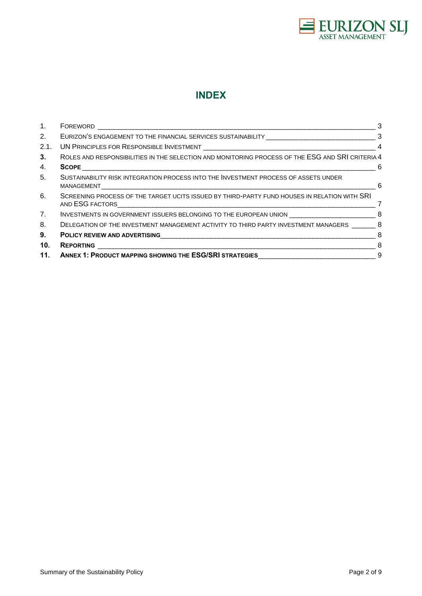

# **INDEX**

| 1.             |                                                                                                  | 3   |
|----------------|--------------------------------------------------------------------------------------------------|-----|
| 2.             | EURIZON'S ENGAGEMENT TO THE FINANCIAL SERVICES SUSTAINABILITY [114] CONDITIONALLY 23             |     |
| 2.1.           |                                                                                                  | 4   |
| 3.             | ROLES AND RESPONSIBILITIES IN THE SELECTION AND MONITORING PROCESS OF THE ESG AND SRI CRITERIA 4 |     |
| 4.             |                                                                                                  |     |
| 5.             | SUSTAINABILITY RISK INTEGRATION PROCESS INTO THE INVESTMENT PROCESS OF ASSETS UNDER              | 6   |
| 6.             | SCREENING PROCESS OF THE TARGET UCITS ISSUED BY THIRD-PARTY FUND HOUSES IN RELATION WITH SRI     | - 7 |
| 7 <sub>1</sub> |                                                                                                  |     |
| 8.             | DELEGATION OF THE INVESTMENT MANAGEMENT ACTIVITY TO THIRD PARTY INVESTMENT MANAGERS 68           |     |
| 9.             | POLICY REVIEW AND ADVERTISING 8                                                                  |     |
| 10.            |                                                                                                  |     |
| 11.            | ANNEX 1: PRODUCT MAPPING SHOWING THE ESG/SRI STRATEGIES 9                                        |     |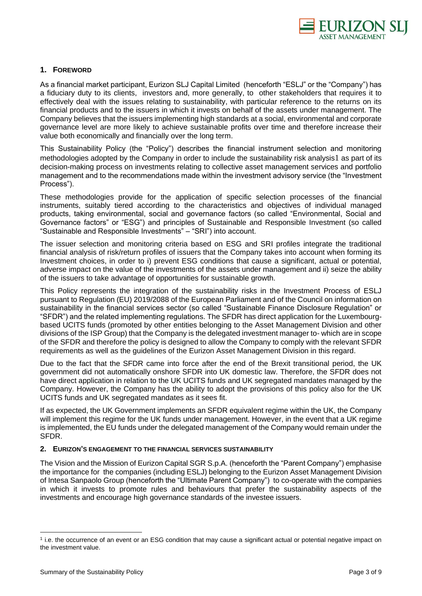

# <span id="page-2-0"></span>**1. FOREWORD**

As a financial market participant, Eurizon SLJ Capital Limited (henceforth "ESLJ" or the "Company") has a fiduciary duty to its clients, investors and, more generally, to other stakeholders that requires it to effectively deal with the issues relating to sustainability, with particular reference to the returns on its financial products and to the issuers in which it invests on behalf of the assets under management. The Company believes that the issuers implementing high standards at a social, environmental and corporate governance level are more likely to achieve sustainable profits over time and therefore increase their value both economically and financially over the long term.

This Sustainability Policy (the "Policy") describes the financial instrument selection and monitoring methodologies adopted by the Company in order to include the sustainability risk analysis1 as part of its decision-making process on investments relating to collective asset management services and portfolio management and to the recommendations made within the investment advisory service (the "Investment Process").

These methodologies provide for the application of specific selection processes of the financial instruments, suitably tiered according to the characteristics and objectives of individual managed products, taking environmental, social and governance factors (so called "Environmental, Social and Governance factors" or "ESG") and principles of Sustainable and Responsible Investment (so called "Sustainable and Responsible Investments" – "SRI") into account.

The issuer selection and monitoring criteria based on ESG and SRI profiles integrate the traditional financial analysis of risk/return profiles of issuers that the Company takes into account when forming its Investment choices, in order to i) prevent ESG conditions that cause a significant, actual or potential, adverse impact on the value of the investments of the assets under management and ii) seize the ability of the issuers to take advantage of opportunities for sustainable growth.

This Policy represents the integration of the sustainability risks in the Investment Process of ESLJ pursuant to Regulation (EU) 2019/2088 of the European Parliament and of the Council on information on sustainability in the financial services sector (so called "Sustainable Finance Disclosure Regulation" or "SFDR") and the related implementing regulations. The SFDR has direct application for the Luxembourgbased UCITS funds (promoted by other entities belonging to the Asset Management Division and other divisions of the ISP Group) that the Company is the delegated investment manager to- which are in scope of the SFDR and therefore the policy is designed to allow the Company to comply with the relevant SFDR requirements as well as the guidelines of the Eurizon Asset Management Division in this regard.

Due to the fact that the SFDR came into force after the end of the Brexit transitional period, the UK government did not automatically onshore SFDR into UK domestic law. Therefore, the SFDR does not have direct application in relation to the UK UCITS funds and UK segregated mandates managed by the Company. However, the Company has the ability to adopt the provisions of this policy also for the UK UCITS funds and UK segregated mandates as it sees fit.

If as expected, the UK Government implements an SFDR equivalent regime within the UK, the Company will implement this regime for the UK funds under management. However, in the event that a UK regime is implemented, the EU funds under the delegated management of the Company would remain under the SFDR.

# <span id="page-2-1"></span>**2. EURIZON'S ENGAGEMENT TO THE FINANCIAL SERVICES SUSTAINABILITY**

The Vision and the Mission of Eurizon Capital SGR S.p.A. (henceforth the "Parent Company") emphasise the importance for the companies (including ESLJ) belonging to the Eurizon Asset Management Division of Intesa Sanpaolo Group (henceforth the "Ultimate Parent Company") to co-operate with the companies in which it invests to promote rules and behaviours that prefer the sustainability aspects of the investments and encourage high governance standards of the investee issuers.

<sup>1</sup> i.e. the occurrence of an event or an ESG condition that may cause a significant actual or potential negative impact on the investment value.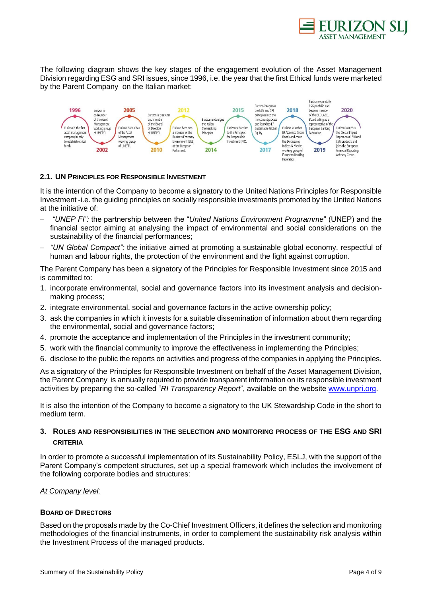

The following diagram shows the key stages of the engagement evolution of the Asset Management Division regarding ESG and SRI issues, since 1996, i.e. the year that the first Ethical funds were marketed by the Parent Company on the Italian market:



# <span id="page-3-0"></span>**2.1. UN PRINCIPLES FOR RESPONSIBLE INVESTMENT**

It is the intention of the Company to become a signatory to the United Nations Principles for Responsible Investment -i.e. the guiding principles on socially responsible investments promoted by the United Nations at the initiative of:

- − *"UNEP FI":* the partnership between the "*United Nations Environment Programme*" (UNEP) and the financial sector aiming at analysing the impact of environmental and social considerations on the sustainability of the financial performances;
- − *"UN Global Compact":* the initiative aimed at promoting a sustainable global economy, respectful of human and labour rights, the protection of the environment and the fight against corruption.

The Parent Company has been a signatory of the Principles for Responsible Investment since 2015 and is committed to:

- 1. incorporate environmental, social and governance factors into its investment analysis and decisionmaking process;
- 2. integrate environmental, social and governance factors in the active ownership policy;
- 3. ask the companies in which it invests for a suitable dissemination of information about them regarding the environmental, social and governance factors;
- 4. promote the acceptance and implementation of the Principles in the investment community;
- 5. work with the financial community to improve the effectiveness in implementing the Principles;
- 6. disclose to the public the reports on activities and progress of the companies in applying the Principles.

As a signatory of the Principles for Responsible Investment on behalf of the Asset Management Division, the Parent Company is annually required to provide transparent information on its responsible investment activities by preparing the so-called "*RI Transparency Report*", available on the website [www.unpri.org.](http://www.unpri.org/)

It is also the intention of the Company to become a signatory to the UK Stewardship Code in the short to medium term.

# <span id="page-3-1"></span>**3. ROLES AND RESPONSIBILITIES IN THE SELECTION AND MONITORING PROCESS OF THE ESG AND SRI CRITERIA**

In order to promote a successful implementation of its Sustainability Policy, ESLJ, with the support of the Parent Company's competent structures, set up a special framework which includes the involvement of the following corporate bodies and structures:

#### *At Company level:*

#### **BOARD OF DIRECTORS**

Based on the proposals made by the Co-Chief Investment Officers, it defines the selection and monitoring methodologies of the financial instruments, in order to complement the sustainability risk analysis within the Investment Process of the managed products.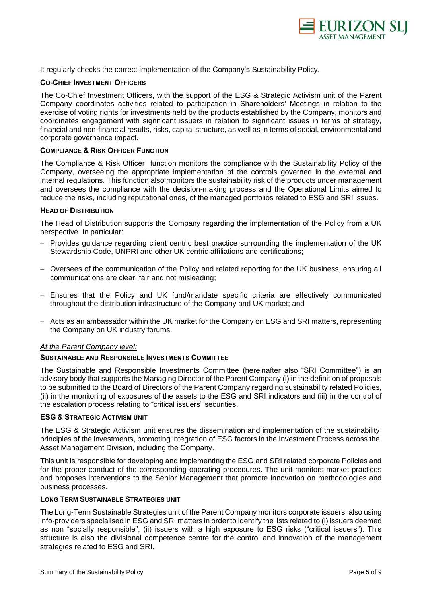

It regularly checks the correct implementation of the Company's Sustainability Policy.

### **CO-CHIEF INVESTMENT OFFICERS**

The Co-Chief Investment Officers, with the support of the ESG & Strategic Activism unit of the Parent Company coordinates activities related to participation in Shareholders' Meetings in relation to the exercise of voting rights for investments held by the products established by the Company, monitors and coordinates engagement with significant issuers in relation to significant issues in terms of strategy, financial and non-financial results, risks, capital structure, as well as in terms of social, environmental and corporate governance impact.

#### **COMPLIANCE & RISK OFFICER FUNCTION**

The Compliance & Risk Officer function monitors the compliance with the Sustainability Policy of the Company, overseeing the appropriate implementation of the controls governed in the external and internal regulations. This function also monitors the sustainability risk of the products under management and oversees the compliance with the decision-making process and the Operational Limits aimed to reduce the risks, including reputational ones, of the managed portfolios related to ESG and SRI issues.

#### **HEAD OF DISTRIBUTION**

The Head of Distribution supports the Company regarding the implementation of the Policy from a UK perspective. In particular:

- − Provides guidance regarding client centric best practice surrounding the implementation of the UK Stewardship Code, UNPRI and other UK centric affiliations and certifications;
- − Oversees of the communication of the Policy and related reporting for the UK business, ensuring all communications are clear, fair and not misleading;
- − Ensures that the Policy and UK fund/mandate specific criteria are effectively communicated throughout the distribution infrastructure of the Company and UK market; and
- − Acts as an ambassador within the UK market for the Company on ESG and SRI matters, representing the Company on UK industry forums.

#### *At the Parent Company level:*

#### **SUSTAINABLE AND RESPONSIBLE INVESTMENTS COMMITTEE**

The Sustainable and Responsible Investments Committee (hereinafter also "SRI Committee") is an advisory body that supports the Managing Director of the Parent Company (i) in the definition of proposals to be submitted to the Board of Directors of the Parent Company regarding sustainability related Policies, (ii) in the monitoring of exposures of the assets to the ESG and SRI indicators and (iii) in the control of the escalation process relating to "critical issuers" securities.

#### **ESG & STRATEGIC ACTIVISM UNIT**

The ESG & Strategic Activism unit ensures the dissemination and implementation of the sustainability principles of the investments, promoting integration of ESG factors in the Investment Process across the Asset Management Division, including the Company.

This unit is responsible for developing and implementing the ESG and SRI related corporate Policies and for the proper conduct of the corresponding operating procedures. The unit monitors market practices and proposes interventions to the Senior Management that promote innovation on methodologies and business processes.

# **LONG TERM SUSTAINABLE STRATEGIES UNIT**

The Long-Term Sustainable Strategies unit of the Parent Company monitors corporate issuers, also using info-providers specialised in ESG and SRI matters in order to identify the lists related to (i) issuers deemed as non "socially responsible", (ii) issuers with a high exposure to ESG risks ("critical issuers"). This structure is also the divisional competence centre for the control and innovation of the management strategies related to ESG and SRI.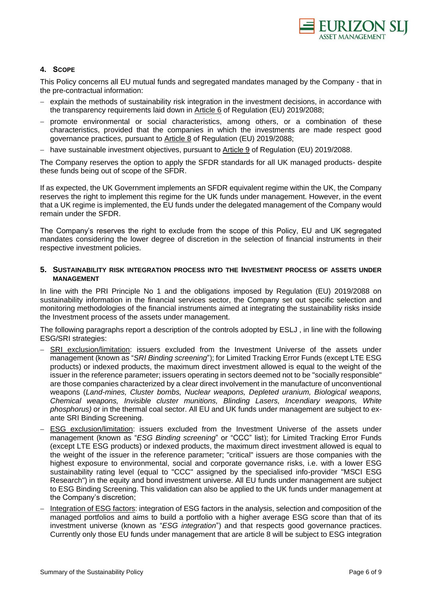

# <span id="page-5-0"></span>**4. SCOPE**

This Policy concerns all EU mutual funds and segregated mandates managed by the Company - that in the pre-contractual information:

- − explain the methods of sustainability risk integration in the investment decisions, in accordance with the transparency requirements laid down in Article 6 of Regulation (EU) 2019/2088;
- − promote environmental or social characteristics, among others, or a combination of these characteristics, provided that the companies in which the investments are made respect good governance practice*s,* pursuant to Article 8 of Regulation (EU) 2019/2088;
- − have sustainable investment objectives, pursuant to Article 9 of Regulation (EU) 2019/2088.

The Company reserves the option to apply the SFDR standards for all UK managed products- despite these funds being out of scope of the SFDR.

If as expected, the UK Government implements an SFDR equivalent regime within the UK, the Company reserves the right to implement this regime for the UK funds under management. However, in the event that a UK regime is implemented, the EU funds under the delegated management of the Company would remain under the SFDR.

The Company's reserves the right to exclude from the scope of this Policy, EU and UK segregated mandates considering the lower degree of discretion in the selection of financial instruments in their respective investment policies.

# <span id="page-5-1"></span>**5. SUSTAINABILITY RISK INTEGRATION PROCESS INTO THE INVESTMENT PROCESS OF ASSETS UNDER MANAGEMENT**

In line with the PRI Principle No 1 and the obligations imposed by Regulation (EU) 2019/2088 on sustainability information in the financial services sector, the Company set out specific selection and monitoring methodologies of the financial instruments aimed at integrating the sustainability risks inside the Investment process of the assets under management.

The following paragraphs report a description of the controls adopted by ESLJ , in line with the following ESG/SRI strategies:

- SRI exclusion/limitation: issuers excluded from the Investment Universe of the assets under management (known as "*SRI Binding screening*"); for Limited Tracking Error Funds (except LTE ESG products) or indexed products, the maximum direct investment allowed is equal to the weight of the issuer in the reference parameter; issuers operating in sectors deemed not to be "socially responsible" are those companies characterized by a clear direct involvement in the manufacture of unconventional weapons (*Land-mines, Cluster bombs, Nuclear weapons, Depleted uranium, Biological weapons, Chemical weapons, Invisible cluster munitions, Blinding Lasers, Incendiary weapons, White phosphorus)* or in the thermal coal sector. All EU and UK funds under management are subject to exante SRI Binding Screening.
- − ESG exclusion/limitation: issuers excluded from the Investment Universe of the assets under management (known as "*ESG Binding screening*" or "CCC" list); for Limited Tracking Error Funds (except LTE ESG products) or indexed products, the maximum direct investment allowed is equal to the weight of the issuer in the reference parameter; "critical" issuers are those companies with the highest exposure to environmental, social and corporate governance risks, i.e. with a lower ESG sustainability rating level (equal to "CCC" assigned by the specialised info-provider "MSCI ESG Research") in the equity and bond investment universe. All EU funds under management are subject to ESG Binding Screening. This validation can also be applied to the UK funds under management at the Company's discretion;
- − Integration of ESG factors: integration of ESG factors in the analysis, selection and composition of the managed portfolios and aims to build a portfolio with a higher average ESG score than that of its investment universe (known as "*ESG integration*") and that respects good governance practices. Currently only those EU funds under management that are article 8 will be subject to ESG integration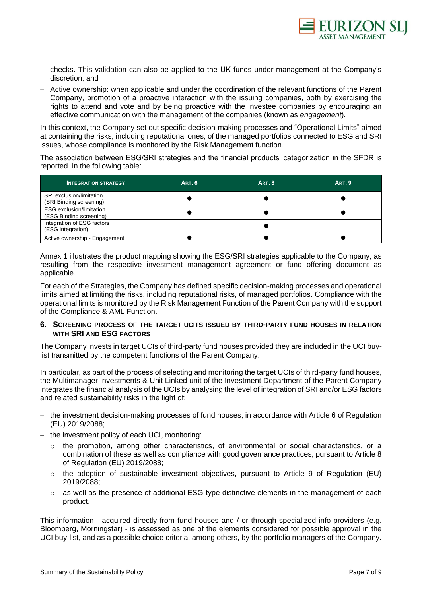

checks. This validation can also be applied to the UK funds under management at the Company's discretion; and

− Active ownership: when applicable and under the coordination of the relevant functions of the Parent Company, promotion of a proactive interaction with the issuing companies, both by exercising the rights to attend and vote and by being proactive with the investee companies by encouraging an effective communication with the management of the companies (known as *engagement*)*.*

In this context, the Company set out specific decision-making processes and "Operational Limits" aimed at containing the risks, including reputational ones, of the managed portfolios connected to ESG and SRI issues, whose compliance is monitored by the Risk Management function.

The association between ESG/SRI strategies and the financial products' categorization in the SFDR is reported in the following table:

| <b>INTEGRATION STRATEGY</b>                                | <b>ART. 6</b> | <b>ART. 8</b> | <b>ART. 9</b> |
|------------------------------------------------------------|---------------|---------------|---------------|
| SRI exclusion/limitation<br>(SRI Binding screening)        |               |               |               |
| <b>ESG</b> exclusion/limitation<br>(ESG Binding screening) |               |               |               |
| Integration of ESG factors<br>(ESG integration)            |               |               |               |
| Active ownership - Engagement                              |               |               |               |

Annex 1 illustrates the product mapping showing the ESG/SRI strategies applicable to the Company, as resulting from the respective investment management agreement or fund offering document as applicable.

For each of the Strategies, the Company has defined specific decision-making processes and operational limits aimed at limiting the risks, including reputational risks, of managed portfolios. Compliance with the operational limits is monitored by the Risk Management Function of the Parent Company with the support of the Compliance & AML Function.

#### <span id="page-6-0"></span>**6. SCREENING PROCESS OF THE TARGET UCITS ISSUED BY THIRD-PARTY FUND HOUSES IN RELATION WITH SRI AND ESG FACTORS**

The Company invests in target UCIs of third-party fund houses provided they are included in the UCI buylist transmitted by the competent functions of the Parent Company.

In particular, as part of the process of selecting and monitoring the target UCIs of third-party fund houses, the Multimanager Investments & Unit Linked unit of the Investment Department of the Parent Company integrates the financial analysis of the UCIs by analysing the level of integration of SRI and/or ESG factors and related sustainability risks in the light of:

- − the investment decision-making processes of fund houses, in accordance with Article 6 of Regulation (EU) 2019/2088;
- − the investment policy of each UCI, monitoring:
	- $\circ$  the promotion, among other characteristics, of environmental or social characteristics, or a combination of these as well as compliance with good governance practices, pursuant to Article 8 of Regulation (EU) 2019/2088;
	- $\circ$  the adoption of sustainable investment objectives, pursuant to Article 9 of Regulation (EU) 2019/2088;
	- $\circ$  as well as the presence of additional ESG-type distinctive elements in the management of each product.

This information - acquired directly from fund houses and / or through specialized info-providers (e.g. Bloomberg, Morningstar) - is assessed as one of the elements considered for possible approval in the UCI buy-list, and as a possible choice criteria, among others, by the portfolio managers of the Company.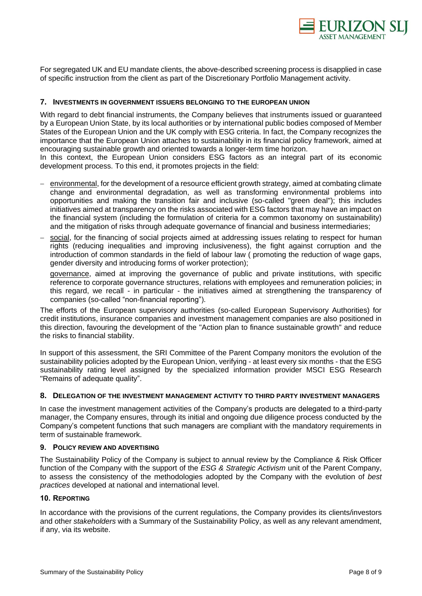

For segregated UK and EU mandate clients, the above-described screening process is disapplied in case of specific instruction from the client as part of the Discretionary Portfolio Management activity.

# <span id="page-7-0"></span>**7. INVESTMENTS IN GOVERNMENT ISSUERS BELONGING TO THE EUROPEAN UNION**

With regard to debt financial instruments, the Company believes that instruments issued or guaranteed by a European Union State, by its local authorities or by international public bodies composed of Member States of the European Union and the UK comply with ESG criteria. In fact, the Company recognizes the importance that the European Union attaches to sustainability in its financial policy framework, aimed at encouraging sustainable growth and oriented towards a longer-term time horizon.

In this context, the European Union considers ESG factors as an integral part of its economic development process. To this end, it promotes projects in the field:

- − environmental, for the development of a resource efficient growth strategy, aimed at combating climate change and environmental degradation, as well as transforming environmental problems into opportunities and making the transition fair and inclusive (so-called "green deal"); this includes initiatives aimed at transparency on the risks associated with ESG factors that may have an impact on the financial system (including the formulation of criteria for a common taxonomy on sustainability) and the mitigation of risks through adequate governance of financial and business intermediaries;
- social, for the financing of social projects aimed at addressing issues relating to respect for human rights (reducing inequalities and improving inclusiveness), the fight against corruption and the introduction of common standards in the field of labour law ( promoting the reduction of wage gaps, gender diversity and introducing forms of worker protection);

governance, aimed at improving the governance of public and private institutions, with specific reference to corporate governance structures, relations with employees and remuneration policies; in this regard, we recall - in particular - the initiatives aimed at strengthening the transparency of companies (so-called "non-financial reporting").

The efforts of the European supervisory authorities (so-called European Supervisory Authorities) for credit institutions, insurance companies and investment management companies are also positioned in this direction, favouring the development of the "Action plan to finance sustainable growth" and reduce the risks to financial stability.

In support of this assessment, the SRI Committee of the Parent Company monitors the evolution of the sustainability policies adopted by the European Union, verifying - at least every six months - that the ESG sustainability rating level assigned by the specialized information provider MSCI ESG Research "Remains of adequate quality".

# <span id="page-7-1"></span>**8. DELEGATION OF THE INVESTMENT MANAGEMENT ACTIVITY TO THIRD PARTY INVESTMENT MANAGERS**

In case the investment management activities of the Company's products are delegated to a third-party manager, the Company ensures, through its initial and ongoing due diligence process conducted by the Company's competent functions that such managers are compliant with the mandatory requirements in term of sustainable framework.

#### <span id="page-7-2"></span>**9. POLICY REVIEW AND ADVERTISING**

The Sustainability Policy of the Company is subject to annual review by the Compliance & Risk Officer function of the Company with the support of the *ESG & Strategic Activism* unit of the Parent Company, to assess the consistency of the methodologies adopted by the Company with the evolution of *best practices* developed at national and international level.

# <span id="page-7-3"></span>**10. REPORTING**

In accordance with the provisions of the current regulations, the Company provides its clients/investors and other *stakeholders* with a Summary of the Sustainability Policy, as well as any relevant amendment, if any, via its website.